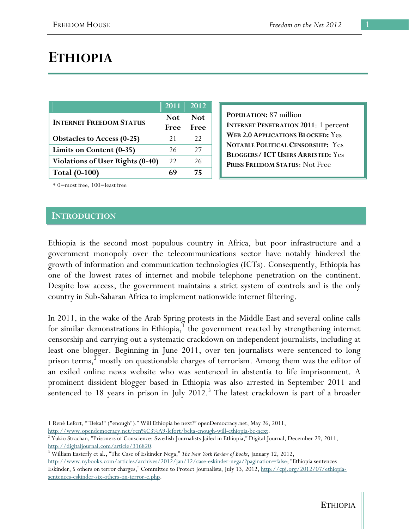# **ETHIOPIA**

|                                         | 2011 2012 |            |
|-----------------------------------------|-----------|------------|
| <b>INTERNET FREEDOM STATUS</b>          | Not:      | <b>Not</b> |
|                                         | Free      | Free       |
| <b>Obstacles to Access (0-25)</b>       | 21        | 22         |
| Limits on Content (0-35)                | 26        | 27         |
| <b>Violations of User Rights (0-40)</b> | 22        | 26         |
| <b>Total (0-100)</b>                    |           | 75         |

**POPULATION:** 87 million **INTERNET PENETRATION 2011**: 1 percent **WEB 2.0 APPLICATIONS BLOCKED:** Yes **NOTABLE POLITICAL CENSORSHIP:** Yes **BLOGGERS/ ICT USERS ARRESTED:** Yes **PRESS FREEDOM STATUS**: Not Free

\* 0=most free, 100=least free

#### **INTRODUCTION**

 $\overline{a}$ 

Ethiopia is the second most populous country in Africa, but poor infrastructure and a government monopoly over the telecommunications sector have notably hindered the growth of information and communication technologies (ICTs). Consequently, Ethiopia has one of the lowest rates of internet and mobile telephone penetration on the continent. Despite low access, the government maintains a strict system of controls and is the only country in Sub-Saharan Africa to implement nationwide internet filtering.

In 2011, in the wake of the Arab Spring protests in the Middle East and several online calls for similar demonstrations in Ethiopia, $<sup>1</sup>$  the government reacted by strengthening internet</sup> censorship and carrying out a systematic crackdown on independent journalists, including at least one blogger. Beginning in June 2011, over ten journalists were sentenced to long prison terms, $^{2}$  mostly on questionable charges of terrorism. Among them was the editor of an exiled online news website who was sentenced in abstentia to life imprisonment. A prominent dissident blogger based in Ethiopia was also arrested in September 2011 and sentenced to 18 years in prison in July 2012.<sup>3</sup> The latest crackdown is part of a broader

1 René Lefort, ""Beka!" ("enough")." Will Ethiopia be next?" openDemocracy.net, May 26, 2011, http://www.opendemocracy.net/ren%C3%A9-lefort/beka-enough-will-ethiopia-be-next. 2

<sup>2</sup> Yukio Strachan, "Prisoners of Conscience: Swedish Journalists Jailed in Ethiopia," Digital Journal, December 29, 2011, http://digitaljournal.com/article/316820.

William Easterly et al., "The Case of Eskinder Nega," *The New York Review of Books*, January 12, 2012, http://www.nybooks.com/articles/archives/2012/jan/12/case-eskinder-nega/?pagination=false; "Ethiopia sentences

Eskinder, 5 others on terror charges," Committee to Protect Journalists, July 13, 2012, http://cpj.org/2012/07/ethiopiasentences-eskinder-six-others-on-terror-c.php.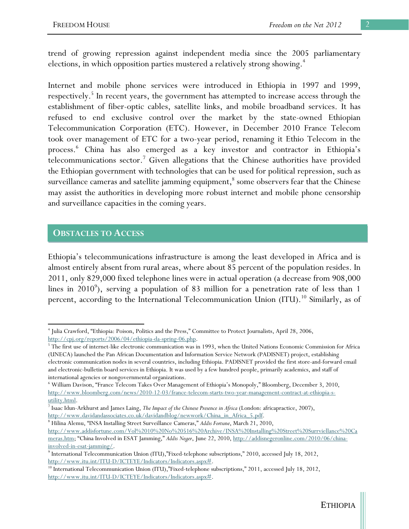trend of growing repression against independent media since the 2005 parliamentary elections, in which opposition parties mustered a relatively strong showing.<sup>4</sup>

Internet and mobile phone services were introduced in Ethiopia in 1997 and 1999, respectively.<sup>5</sup> In recent years, the government has attempted to increase access through the establishment of fiber-optic cables, satellite links, and mobile broadband services. It has refused to end exclusive control over the market by the state-owned Ethiopian Telecommunication Corporation (ETC). However, in December 2010 France Telecom took over management of ETC for a two-year period, renaming it Ethio Telecom in the process. 6 China has also emerged as a key investor and contractor in Ethiopia's telecommunications sector.<sup>7</sup> Given allegations that the Chinese authorities have provided the Ethiopian government with technologies that can be used for political repression, such as surveillance cameras and satellite jamming equipment, $^8$  some observers fear that the Chinese may assist the authorities in developing more robust internet and mobile phone censorship and surveillance capacities in the coming years.

### **OBSTACLES TO ACCESS**

Ethiopia's telecommunications infrastructure is among the least developed in Africa and is almost entirely absent from rural areas, where about 85 percent of the population resides. In 2011, only 829,000 fixed telephone lines were in actual operation (a decrease from 908,000 lines in 2010<sup>9</sup>), serving a population of 83 million for a penetration rate of less than 1 percent, according to the International Telecommunication Union (ITU).<sup>10</sup> Similarly, as of

Hilina Alemu, "INSA Installing Street Surveillance Cameras," *Addis Fortune*, March 21, 2010,

 $\overline{a}$ 4 Julia Crawford, "Ethiopia: Poison, Politics and the Press," Committee to Protect Journalists, April 28, 2006, http://cpj.org/reports/2006/04/ethiopia-da-spring-06.php.

 $5$  The first use of internet-like electronic communication was in 1993, when the United Nations Economic Commission for Africa (UNECA) launched the Pan African Documentation and Information Service Network (PADISNET) project, establishing electronic communication nodes in several countries, including Ethiopia. PADISNET provided the first store-and-forward email and electronic-bulletin board services in Ethiopia. It was used by a few hundred people, primarily academics, and staff of international agencies or nongovernmental organizations.

<sup>6</sup> William Davison, "France Telecom Takes Over Management of Ethiopia's Monopoly," Bloomberg, December 3, 2010, http://www.bloomberg.com/news/2010-12-03/france-telecom-starts-two-year-management-contract-at-ethiopia-sutility.html.

Isaac Idun-Arkhurst and James Laing, *The Impact of the Chinese Presence in Africa* (London: africapractice, 2007), http://www.davidandassociates.co.uk/davidandblog/newwork/China\_in\_Africa\_5.pdf.

http://www.addisfortune.com/Vol%2010%20No%20516%20Archive/INSA%20Installing%20Street%20Surrviellance%20Ca meras.htm; "China Involved in ESAT Jamming," *Addis Neger*, June 22, 2010, http://addisnegeronline.com/2010/06/chinainvolved-in-esat-jamming/. 9

<sup>&</sup>lt;sup>9</sup> International Telecommunication Union (ITU),"Fixed-telephone subscriptions," 2010, accessed July 18, 2012, http://www.itu.int/ITU-D/ICTEYE/Indicators/Indicators.aspx#.<br><sup>10</sup> International Telecommunication Union (ITU),"Fixed-telephone subscriptions," 2011, accessed July 18, 2012,

http://www.itu.int/ITU-D/ICTEYE/Indicators/Indicators.aspx#.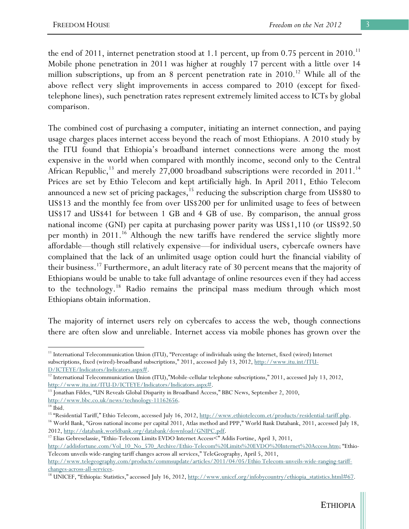the end of 2011, internet penetration stood at 1.1 percent, up from  $0.75$  percent in  $2010$ .<sup>11</sup> Mobile phone penetration in 2011 was higher at roughly 17 percent with a little over 14 million subscriptions, up from an 8 percent penetration rate in  $2010$ .<sup>12</sup> While all of the above reflect very slight improvements in access compared to 2010 (except for fixedtelephone lines), such penetration rates represent extremely limited access to ICTs by global comparison.

The combined cost of purchasing a computer, initiating an internet connection, and paying usage charges places internet access beyond the reach of most Ethiopians. A 2010 study by the ITU found that Ethiopia's broadband internet connections were among the most expensive in the world when compared with monthly income, second only to the Central African Republic,<sup>13</sup> and merely 27,000 broadband subscriptions were recorded in 2011.<sup>14</sup> Prices are set by Ethio Telecom and kept artificially high. In April 2011, Ethio Telecom announced a new set of pricing packages, $15$  reducing the subscription charge from US\$80 to US\$13 and the monthly fee from over US\$200 per for unlimited usage to fees of between US\$17 and US\$41 for between 1 GB and 4 GB of use. By comparison, the annual gross national income (GNI) per capita at purchasing power parity was US\$1,110 (or US\$92.50 per month) in 2011.<sup>16</sup> Although the new tariffs have rendered the service slightly more affordable—though still relatively expensive—for individual users, cybercafe owners have complained that the lack of an unlimited usage option could hurt the financial viability of their business.17 Furthermore, an adult literacy rate of 30 percent means that the majority of Ethiopians would be unable to take full advantage of online resources even if they had access to the technology.18 Radio remains the principal mass medium through which most Ethiopians obtain information.

The majority of internet users rely on cybercafes to access the web, though connections there are often slow and unreliable. Internet access via mobile phones has grown over the

 $\overline{a}$ 

2012, http://databank.worldbank.org/databank/download/GNIPC.pdf. 17 Elias Gebreselassie, "Ethio-Telecom Limits EVDO Internet Access<" Addis Fortine, April 3, 2011,

http://addisfortune.com/Vol\_10\_No\_570\_Archive/Ethio-Telecom%20Limits%20EVDO%20Internet%20Access.htm; "Ethio-Telecom unveils wide-ranging tariff changes across all services," TeleGeography, April 5, 2011,

ETHIOPIA

<sup>&</sup>lt;sup>11</sup> International Telecommunication Union (ITU), "Percentage of individuals using the Internet, fixed (wired) Internet subscriptions, fixed (wired)-broadband subscriptions," 2011, accessed July 13, 2012, http://www.itu.int/ITU-

D/ICTEYE/Indicators/Indicators.aspx#.<br><sup>12</sup> International Telecommunication Union (ITU),"Mobile-cellular telephone subscriptions," 2011, accessed July 13, 2012,

http://www.itu.int/ITU-D/ICTEYE/Indicators/Indicators.aspx#.  $^{13}$  Jonathan Fildes, "UN Reveals Global Disparity in Broadband Access," BBC News, September 2, 2010,

http://www.bbc.co.uk/news/technology-11162656.<br><sup>14</sup> Ibid.<br><sup>15</sup> "Residential Tariff," Ethio Telecom, accessed July 16, 2012, <u>http://www.ethiotelecom.et/products/residential-tariff.php</u>. <sup>16</sup> World Bank, "Gross national income per capital 2011, Atlas method and PPP," World Bank Databank, 2011, accessed July 18,

http://www.telegeography.com/products/commsupdate/articles/2011/04/05/Ethio Telecom-unveils-wide-ranging-tariff-

changes-across-all-services.<br><sup>18</sup> UNICEF, "Ethiopia: Statistics," accessed July 16, 2012, <u>http://www.unicef.org/infobycountry/ethiopia\_statistics.html#67</u>.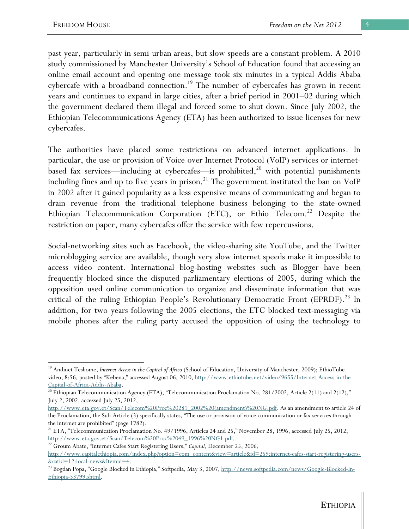past year, particularly in semi-urban areas, but slow speeds are a constant problem. A 2010 study commissioned by Manchester University's School of Education found that accessing an online email account and opening one message took six minutes in a typical Addis Ababa cybercafe with a broadband connection.<sup>19</sup> The number of cybercafes has grown in recent years and continues to expand in large cities, after a brief period in 2001–02 during which the government declared them illegal and forced some to shut down. Since July 2002, the Ethiopian Telecommunications Agency (ETA) has been authorized to issue licenses for new cybercafes.

The authorities have placed some restrictions on advanced internet applications. In particular, the use or provision of Voice over Internet Protocol (VoIP) services or internetbased fax services—including at cybercafes—is prohibited, $^{20}$  with potential punishments including fines and up to five years in prison.<sup>21</sup> The government instituted the ban on VoIP in 2002 after it gained popularity as a less expensive means of communicating and began to drain revenue from the traditional telephone business belonging to the state-owned Ethiopian Telecommunication Corporation (ETC), or Ethio Telecom.<sup>22</sup> Despite the restriction on paper, many cybercafes offer the service with few repercussions.

Social-networking sites such as Facebook, the video-sharing site YouTube, and the Twitter microblogging service are available, though very slow internet speeds make it impossible to access video content. International blog-hosting websites such as Blogger have been frequently blocked since the disputed parliamentary elections of 2005, during which the opposition used online communication to organize and disseminate information that was critical of the ruling Ethiopian People's Revolutionary Democratic Front (EPRDF).<sup>23</sup> In addition, for two years following the 2005 elections, the ETC blocked text-messaging via mobile phones after the ruling party accused the opposition of using the technology to

<sup>&</sup>lt;sup>19</sup> Andinet Teshome, *Internet Access in the Capital of Africa* (School of Education, University of Manchester, 2009); EthioTube video, 8:56, posted by "Kebena," accessed August 06, 2010, http://www.ethiotube.net/video/9655/Internet-Access-in-the-

Capital-of-Africa-Addis-Ababa.<br><sup>20</sup> Ethiopian Telecommunication Agency (ETA), "Telecommunication Proclamation No. 281/2002, Article 2(11) and 2(12)," July 2, 2002, accessed July 25, 2012,

http://www.eta.gov.et/Scan/Telecom%20Proc%20281\_2002%20(amendment)%20NG.pdf. As an amendment to article 24 of the Proclamation, the Sub-Article (3) specifically states, "The use or provision of voice communication or fax services through the internet are prohibited" (page 1782).

<sup>&</sup>lt;sup>21</sup> ETA, "Telecommunication Proclamation No. 49/1996, Articles 24 and 25," November 28, 1996, accessed July 25, 2012,

http://www.eta.gov.et/Scan/Telecom%20Proc%2049\_1996%20NG1.pdf. 22 Groum Abate, "Internet Cafes Start Registering Users," *Capital*, December 25, 2006,

http://www.capitalethiopia.com/index.php?option=com\_content&view=article&id=259:internet-cafes-start-registering-users- &catid=12:local-news&Itemid=4. 23 Bogdan Popa, "Google Blocked in Ethiopia," Softpedia, May 3, 2007, http://news.softpedia.com/news/Google-Blocked-In-

Ethiopia-53799.shtml.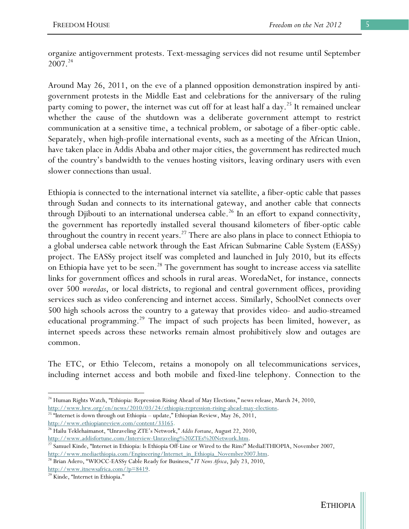organize antigovernment protests. Text-messaging services did not resume until September  $2007.<sup>24</sup>$ 

Around May 26, 2011, on the eve of a planned opposition demonstration inspired by antigovernment protests in the Middle East and celebrations for the anniversary of the ruling party coming to power, the internet was cut off for at least half a day.<sup>25</sup> It remained unclear whether the cause of the shutdown was a deliberate government attempt to restrict communication at a sensitive time, a technical problem, or sabotage of a fiber-optic cable. Separately, when high-profile international events, such as a meeting of the African Union, have taken place in Addis Ababa and other major cities, the government has redirected much of the country's bandwidth to the venues hosting visitors, leaving ordinary users with even slower connections than usual.

Ethiopia is connected to the international internet via satellite, a fiber-optic cable that passes through Sudan and connects to its international gateway, and another cable that connects through Djibouti to an international undersea cable.<sup>26</sup> In an effort to expand connectivity, the government has reportedly installed several thousand kilometers of fiber-optic cable throughout the country in recent years.<sup>27</sup> There are also plans in place to connect Ethiopia to a global undersea cable network through the East African Submarine Cable System (EASSy) project. The EASSy project itself was completed and launched in July 2010, but its effects on Ethiopia have yet to be seen.<sup>28</sup> The government has sought to increase access via satellite links for government offices and schools in rural areas. WoredaNet, for instance, connects over 500 *woredas*, or local districts, to regional and central government offices, providing services such as video conferencing and internet access. Similarly, SchoolNet connects over 500 high schools across the country to a gateway that provides video- and audio-streamed educational programming.<sup>29</sup> The impact of such projects has been limited, however, as internet speeds across these networks remain almost prohibitively slow and outages are common.

The ETC, or Ethio Telecom, retains a monopoly on all telecommunications services, including internet access and both mobile and fixed-line telephony. Connection to the

http://www.hrw.org/en/news/2010/03/24/ethiopia-repression-rising-ahead-may-elections.<br><sup>25 "</sup>Internet is down through out Ethiopia – update," Ethiopian Review, May 26, 2011, http://www.ethiopianreview.com/content/33165.

26 Hailu Teklehaimanot, "Unraveling ZTE's Network," *Addis Fortune*, August 22, 2010,

http://www.addisfortune.com/Interview-Unraveling%20ZTEs%20Network.htm.<br><sup>27</sup> Samuel Kinde, "Internet in Ethiopia: Is Ethiopia Off-Line or Wired to the Rim?" MediaETHIOPIA, November 2007,<br>http://www.mediaethiopia.com/Enginee

<sup>28</sup> Brian Adero, "WIOCC-EASSy Cable Ready for Business," *IT News Africa*, July 23, 2010, http://www.itnewsafrica.com/?p=8419.<br><sup>29</sup> Kinde, "Internet in Ethiopia."

 $\overline{a}$ 

<sup>&</sup>lt;sup>24</sup> Human Rights Watch, "Ethiopia: Repression Rising Ahead of May Elections," news release, March 24, 2010,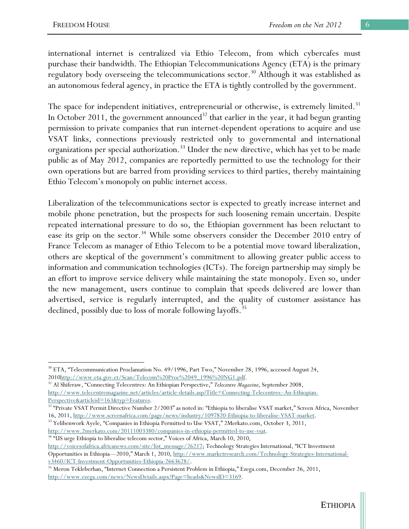international internet is centralized via Ethio Telecom, from which cybercafes must purchase their bandwidth. The Ethiopian Telecommunications Agency (ETA) is the primary regulatory body overseeing the telecommunications sector.<sup>30</sup> Although it was established as an autonomous federal agency, in practice the ETA is tightly controlled by the government.

The space for independent initiatives, entrepreneurial or otherwise, is extremely limited.<sup>31</sup> In October 2011, the government announced<sup>32</sup> that earlier in the year, it had begun granting permission to private companies that run internet-dependent operations to acquire and use VSAT links, connections previously restricted only to governmental and international organizations per special authorization.<sup>33</sup> Under the new directive, which has yet to be made public as of May 2012, companies are reportedly permitted to use the technology for their own operations but are barred from providing services to third parties, thereby maintaining Ethio Telecom's monopoly on public internet access.

Liberalization of the telecommunications sector is expected to greatly increase internet and mobile phone penetration, but the prospects for such loosening remain uncertain. Despite repeated international pressure to do so, the Ethiopian government has been reluctant to ease its grip on the sector.<sup>34</sup> While some observers consider the December 2010 entry of France Telecom as manager of Ethio Telecom to be a potential move toward liberalization, others are skeptical of the government's commitment to allowing greater public access to information and communication technologies (ICTs). The foreign partnership may simply be an effort to improve service delivery while maintaining the state monopoly. Even so, under the new management, users continue to complain that speeds delivered are lower than advertised, service is regularly interrupted, and the quality of customer assistance has declined, possibly due to loss of morale following layoffs.<sup>35</sup>

<sup>34 "</sup>US urge Ethiopia to liberalise telecom sector," Voices of Africa, March 10, 2010,

 $\overline{a}$ <sup>30</sup> ETA, "Telecommunication Proclamation No. 49/1996, Part Two," November 28, 1996, accessed August 24, 2010http://www.eta.gov.et/Scan/Telecom%20Proc%2049\_1996%20NG1.pdf. 31 Al Shiferaw, "Connecting Telecentres: An Ethiopian Perspective," *Telecentre Magazine*, September 2008,

http://www.telecentremagazine.net/articles/article-details.asp?Title=Connecting-Telecentres:-An-Ethiopian-

Perspective&articleid=163&typ=Features.<br><sup>32</sup> "Private VSAT Permit Directive Number 2/2003" as noted in: "Ethiopia to liberalise VSAT market," Screen Africa, November

<sup>16, 2011,</sup> http://www.screenafrica.com/page/news/industry/1097820-Ethiopia-to-liberalise-VSAT-market. 33 Yelibenwork Ayele, "Companies in Ethiopia Permitted to Use VSAT," 2Merkato.com, October 3, 2011, http://www.2merkato.

http://voicesofafrica.africanews.com/site/list\_message/26217; Technology Strategies International, "ICT Investment Opportunities in Ethiopia—2010," March 1, 2010, http://www.marketresearch.com/Technology-Strategies-Internationalv3460/ICT-Investment-Opportunities-Ethiopia-2663628/. 35 Meron Tekleberhan, "Internet Connection a Persistent Problem in Ethiopia," Ezega.com, December 26, 2011,

http://www.ezega.com/news/NewsDetails.aspx?Page=heads&NewsID=3169.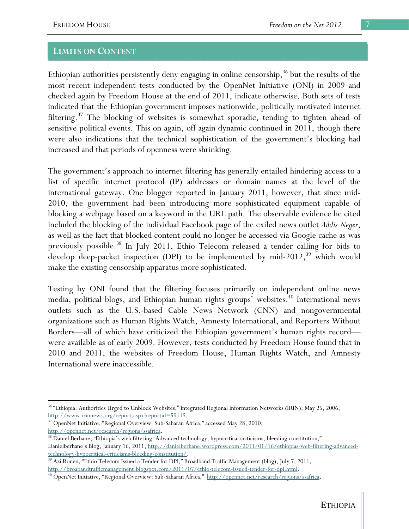#### **LIMITS ON CONTENT**

Ethiopian authorities persistently deny engaging in online censorship,  $36$  but the results of the most recent independent tests conducted by the OpenNet Initiative (ONI) in 2009 and checked again by Freedom House at the end of 2011, indicate otherwise. Both sets of tests indicated that the Ethiopian government imposes nationwide, politically motivated internet filtering.<sup>37</sup> The blocking of websites is somewhat sporadic, tending to tighten ahead of sensitive political events. This on again, off again dynamic continued in 2011, though there were also indications that the technical sophistication of the government's blocking had increased and that periods of openness were shrinking.

The government's approach to internet filtering has generally entailed hindering access to a list of specific internet protocol (IP) addresses or domain names at the level of the international gateway. One blogger reported in January 2011, however, that since mid-2010, the government had been introducing more sophisticated equipment capable of blocking a webpage based on a keyword in the URL path. The observable evidence he cited included the blocking of the individual Facebook page of the exiled news outlet *Addis Neger*, as well as the fact that blocked content could no longer be accessed via Google cache as was previously possible.<sup>38</sup> In July 2011, Ethio Telecom released a tender calling for bids to develop deep-packet inspection (DPI) to be implemented by mid-2012,  $39$  which would make the existing censorship apparatus more sophisticated.

Testing by ONI found that the filtering focuses primarily on independent online news media, political blogs, and Ethiopian human rights groups' websites.<sup>40</sup> International news outlets such as the U.S.-based Cable News Network (CNN) and nongovernmental organizations such as Human Rights Watch, Amnesty International, and Reporters Without Borders—all of which have criticized the Ethiopian government's human rights record were available as of early 2009. However, tests conducted by Freedom House found that in 2010 and 2011, the websites of Freedom House, Human Rights Watch, and Amnesty International were inaccessible.

<sup>&</sup>lt;sup>36</sup> "Ethiopia: Authorities Urged to Unblock Websites," Integrated Regional Information Networks (IRIN), May 25, 2006,

http://www.irinnews.org/report.aspx?reportid=59115.<br><sup>37</sup> OpenNet Initiative, "Regional Overview: Sub-Saharan Africa," accessed May 28, 2010,

http://opennet.net/research/regions/ssafrica.<br><sup>38</sup> Daniel Berhane, "Ethiopia's web filtering: Advanced technology, hypocritical criticisms, bleeding constitution," Danielberhane's Blog, January 16, 2011, http://danielberhane.wordpress.com/2011/01/16/ethiopias-web-filtering-advancedtechnology-hypocritical-criticisms-bleeding-constitution/. 39 Azi Ronen, "Ethio Telecom Issued a Tender for DPI," Broadband Traffic Management (blog), July 7, 2011,

http://broabandtrafficmanagement.blogspot.com/2011/07/ethio-telecom-issued-tender-for-dpi.html. 40 OpenNet Initiative, "Regional Overview: Sub-Saharan Africa," http://opennet.net/research/regions/ssafrica.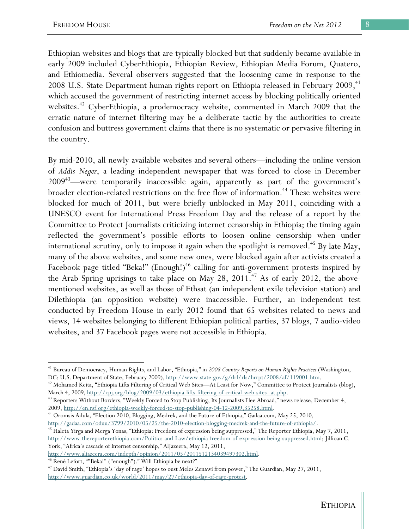Ethiopian websites and blogs that are typically blocked but that suddenly became available in early 2009 included CyberEthiopia, Ethiopian Review, Ethiopian Media Forum, Quatero, and Ethiomedia. Several observers suggested that the loosening came in response to the 2008 U.S. State Department human rights report on Ethiopia released in February  $2009<sub>1</sub><sup>41</sup>$ which accused the government of restricting internet access by blocking politically oriented websites.<sup>42</sup> CyberEthiopia, a prodemocracy website, commented in March 2009 that the erratic nature of internet filtering may be a deliberate tactic by the authorities to create confusion and buttress government claims that there is no systematic or pervasive filtering in the country.

By mid-2010, all newly available websites and several others—including the online version of *Addis Neger*, a leading independent newspaper that was forced to close in December 2009<sup>43</sup>—were temporarily inaccessible again, apparently as part of the government's broader election-related restrictions on the free flow of information.<sup>44</sup> These websites were blocked for much of 2011, but were briefly unblocked in May 2011, coinciding with a UNESCO event for International Press Freedom Day and the release of a report by the Committee to Protect Journalists criticizing internet censorship in Ethiopia; the timing again reflected the government's possible efforts to loosen online censorship when under international scrutiny, only to impose it again when the spotlight is removed.<sup>45</sup> By late May, many of the above websites, and some new ones, were blocked again after activists created a Facebook page titled "Beka!" (Enough!)<sup>46</sup> calling for anti-government protests inspired by the Arab Spring uprisings to take place on May 28,  $2011.^{47}$  As of early 2012, the abovementioned websites, as well as those of Ethsat (an independent exile television station) and Dilethiopia (an opposition website) were inaccessible. Further, an independent test conducted by Freedom House in early 2012 found that 65 websites related to news and views, 14 websites belonging to different Ethiopian political parties, 37 blogs, 7 audio-video websites, and 37 Facebook pages were not accessible in Ethiopia.

 $\overline{a}$ 

<sup>41</sup> Bureau of Democracy, Human Rights, and Labor, "Ethiopia," in *2008 Country Reports on Human Rights Practices* (Washington, DC: U.S. Department of State, February 2009), http://www.state.gov/g/drl/rls/hrrpt/2008/af/119001.htm.<br><sup>42</sup> Mohamed Keita, "Ethiopia Lifts Filtering of Critical Web Sites—At Least for Now," Committee to Protect Journalists

March 4, 2009, http://cpj.org/blog/2009/03/ethiopia-lifts-filtering-of-critical-web-sites--at.php.<br><sup>43</sup> Reporters Without Borders, "Weekly Forced to Stop Publishing, Its Journalists Flee Abroad," news release, December 4,

<sup>2009,</sup> http://en.rsf.org/ethiopia-weekly-forced-to-stop-publishing-04-12-2009,35258.html. 44 Oromsis Adula, "Election 2010, Blogging, Medrek, and the Future of Ethiopia," Gadaa.com, May 25, 2010,

http://gadaa.com/oduu/3799/2010/05/25/the-2010-election-blogging-medrek-and-the-future-of-ethiopia/. 45 Haleta Yirga and Merga Yonas, "Ethiopia: Freedom of expression being suppressed," The Reporter Ethiopia, May 7, 2011, http://www.thereporterethiopia.com/Politics-and-Law/ethiopia-freedom-of-expression-being-suppressed.html; Jillioan C. York, "Africa's cascade of Internet censorship," AlJazeera, May 12, 2011,

http://www.aljazeera.com/indepth/opinion/2011/05/2011512134039497302.html.<br><sup>46</sup> René Lefort, ""Beka!" ("enough")." Will Ethiopia be next?"

<sup>&</sup>lt;sup>47</sup> David Smith, "Ethiopia's 'day of rage' hopes to oust Meles Zenawi from power," The Guardian, May 27, 2011, http://www.guardian.co.uk/world/2011/may/27/ethiopia-day-of-rage-protest.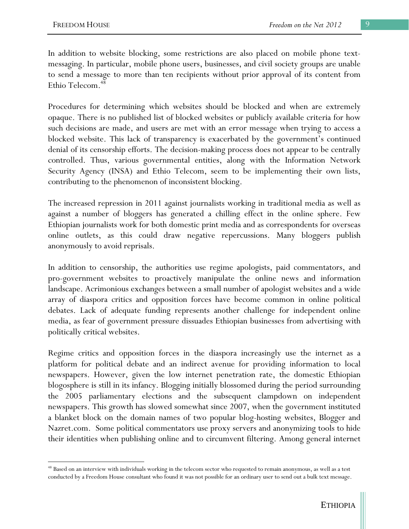In addition to website blocking, some restrictions are also placed on mobile phone textmessaging. In particular, mobile phone users, businesses, and civil society groups are unable to send a message to more than ten recipients without prior approval of its content from Ethio Telecom.<sup>48</sup>

Procedures for determining which websites should be blocked and when are extremely opaque. There is no published list of blocked websites or publicly available criteria for how such decisions are made, and users are met with an error message when trying to access a blocked website. This lack of transparency is exacerbated by the government's continued denial of its censorship efforts. The decision-making process does not appear to be centrally controlled. Thus, various governmental entities, along with the Information Network Security Agency (INSA) and Ethio Telecom, seem to be implementing their own lists, contributing to the phenomenon of inconsistent blocking.

The increased repression in 2011 against journalists working in traditional media as well as against a number of bloggers has generated a chilling effect in the online sphere. Few Ethiopian journalists work for both domestic print media and as correspondents for overseas online outlets, as this could draw negative repercussions. Many bloggers publish anonymously to avoid reprisals.

In addition to censorship, the authorities use regime apologists, paid commentators, and pro-government websites to proactively manipulate the online news and information landscape. Acrimonious exchanges between a small number of apologist websites and a wide array of diaspora critics and opposition forces have become common in online political debates. Lack of adequate funding represents another challenge for independent online media, as fear of government pressure dissuades Ethiopian businesses from advertising with politically critical websites.

Regime critics and opposition forces in the diaspora increasingly use the internet as a platform for political debate and an indirect avenue for providing information to local newspapers. However, given the low internet penetration rate, the domestic Ethiopian blogosphere is still in its infancy. Blogging initially blossomed during the period surrounding the 2005 parliamentary elections and the subsequent clampdown on independent newspapers. This growth has slowed somewhat since 2007, when the government instituted a blanket block on the domain names of two popular blog-hosting websites, Blogger and Nazret.com. Some political commentators use proxy servers and anonymizing tools to hide their identities when publishing online and to circumvent filtering. Among general internet

<sup>&</sup>lt;sup>48</sup> Based on an interview with individuals working in the telecom sector who requested to remain anonymous, as well as a test conducted by a Freedom House consultant who found it was not possible for an ordinary user to send out a bulk text message.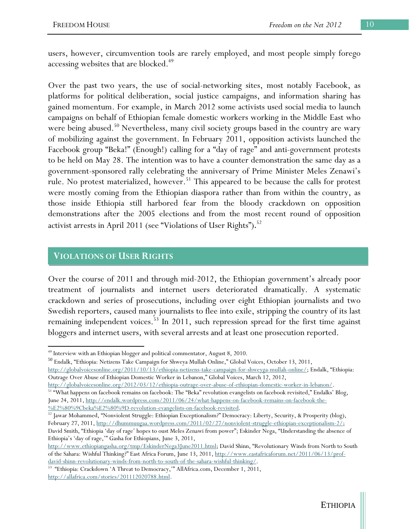users, however, circumvention tools are rarely employed, and most people simply forego accessing websites that are blocked.<sup>49</sup>

Over the past two years, the use of social-networking sites, most notably Facebook, as platforms for political deliberation, social justice campaigns, and information sharing has gained momentum. For example, in March 2012 some activists used social media to launch campaigns on behalf of Ethiopian female domestic workers working in the Middle East who were being abused.<sup>50</sup> Nevertheless, many civil society groups based in the country are wary of mobilizing against the government. In February 2011, opposition activists launched the Facebook group "Beka!" (Enough!) calling for a "day of rage" and anti-government protests to be held on May 28. The intention was to have a counter demonstration the same day as a government-sponsored rally celebrating the anniversary of Prime Minister Meles Zenawi's rule. No protest materialized, however.<sup>51</sup> This appeared to be because the calls for protest were mostly coming from the Ethiopian diaspora rather than from within the country, as those inside Ethiopia still harbored fear from the bloody crackdown on opposition demonstrations after the 2005 elections and from the most recent round of opposition activist arrests in April 2011 (see "Violations of User Rights").<sup>52</sup>

## **VIOLATIONS OF USER RIGHTS**

 $\overline{a}$ 

Over the course of 2011 and through mid-2012, the Ethiopian government's already poor treatment of journalists and internet users deteriorated dramatically. A systematic crackdown and series of prosecutions, including over eight Ethiopian journalists and two Swedish reporters, caused many journalists to flee into exile, stripping the country of its last remaining independent voices.<sup>53</sup> In 2011, such repression spread for the first time against bloggers and internet users, with several arrests and at least one prosecution reported.

<sup>50</sup> Endalk, "Ethiopia: Netizens Take Campaign for Shweya Mullah Online," Global Voices, October 13, 2011, http://globalvoicesonline.org/2011/10/13/ethiopia-netizens-take-campaign-for-shweyga-mullah-online/; Endalk, "Ethiopia: Outrage Over Abuse of Ethiopian Domestic Worker in Lebanon," Global Voices, March 12, 2012,

 $\underline{\text{http://globalvoicesonline.org/2012/03/12/ethiopia-outrage-over-abuse-of-ethiopian-domestic-worker-in-lebanon/}}^{\text{http://globalvoicesonline.org/2012/03/12/ethiopia-outrage-over-abuse-of-ethiopian-domestic-worker-in-lebanon/}}$ June 24, 2011, http://endalk.wordpress.com/2011/06/24/what-happens-on-facebook-remains-on-facebook-the-

%E2%80%9Cbeka%E2%80%9D-revolution-evangelists-on-facebook-revisited. 52 Jawar Mohammed, "Nonviolent Struggle: Ethiopian Exceptionalism?" Democracy: Liberty, Security, & Prosperity (blog), February 27, 2011, http://dhummuugaa.wordpress.com/2011/02/27/nonviolent-struggle-ethiopian-exceptionalism-2/; David Smith, "Ethiopia 'day of rage' hopes to oust Meles Zenawi from power"; Eskinder Nega, "Understanding the absence of Ethiopia's 'day of rage,'" Gasha for Ethiopians, June 3, 2011,

<sup>49</sup> Interview with an Ethiopian blogger and political commentator, August 8, 2010.

http://www.ethiopiangasha.org/tmp/EskinderNega3June2011.html; David Shinn, "Revolutionary Winds from North to South of the Sahara: Wishful Thinking?" East Africa Forum, June 13, 2011, http://www.eastafricaforum.net/2011/06/13/prof-

david-shinn-revolutionary-winds-from-north-to-south-of-the-sahara-wishful-thinking/. 53 "Ethiopia: Crackdown 'A Threat to Democracy,'" AllAfrica.com, December 1, 2011, http://allafrica.com/stories/201112020788.html.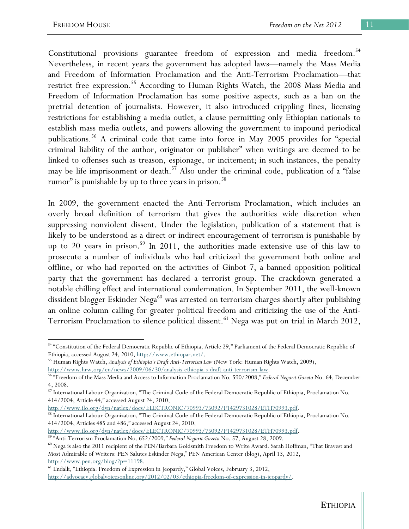Constitutional provisions guarantee freedom of expression and media freedom.<sup>54</sup> Nevertheless, in recent years the government has adopted laws—namely the Mass Media and Freedom of Information Proclamation and the Anti-Terrorism Proclamation—that restrict free expression.<sup>55</sup> According to Human Rights Watch, the 2008 Mass Media and Freedom of Information Proclamation has some positive aspects, such as a ban on the pretrial detention of journalists. However, it also introduced crippling fines, licensing restrictions for establishing a media outlet, a clause permitting only Ethiopian nationals to establish mass media outlets, and powers allowing the government to impound periodical publications.56 A criminal code that came into force in May 2005 provides for "special criminal liability of the author, originator or publisher" when writings are deemed to be linked to offenses such as treason, espionage, or incitement; in such instances, the penalty may be life imprisonment or death.<sup>57</sup> Also under the criminal code, publication of a "false rumor" is punishable by up to three years in prison.<sup>58</sup>

In 2009, the government enacted the Anti-Terrorism Proclamation, which includes an overly broad definition of terrorism that gives the authorities wide discretion when suppressing nonviolent dissent. Under the legislation, publication of a statement that is likely to be understood as a direct or indirect encouragement of terrorism is punishable by up to 20 years in prison.<sup>59</sup> In 2011, the authorities made extensive use of this law to prosecute a number of individuals who had criticized the government both online and offline, or who had reported on the activities of Ginbot 7, a banned opposition political party that the government has declared a terrorist group. The crackdown generated a notable chilling effect and international condemnation. In September 2011, the well-known dissident blogger Eskinder Nega<sup>60</sup> was arrested on terrorism charges shortly after publishing an online column calling for greater political freedom and criticizing the use of the Anti-Terrorism Proclamation to silence political dissent.<sup>61</sup> Nega was put on trial in March 2012,

<sup>54 &</sup>quot;Constitution of the Federal Democratic Republic of Ethiopia, Article 29," Parliament of the Federal Democratic Republic of

Ethiopia, accessed August 24, 2010, http://www.ethiopar.net/. 55 Human Rights Watch, *Analysis of Ethiopia's Draft Anti-Terrorism Law* (New York: Human Rights Watch, 2009),

http://www.hrw.org/en/news/2009/06/30/analysis-ethiopia-s-draft-anti-terrorism-law. 56 "Freedom of the Mass Media and Access to Information Proclamation No. 590/2008," *Federal Negarit Gazeta* No. 64, December 4, 2008.

<sup>57</sup> International Labour Organization, "The Criminal Code of the Federal Democratic Republic of Ethiopia, Proclamation No. 414/2004, Article 44," accessed August 24, 2010,<br>http://www.ilo.org/dyn/natlex/docs/ELECTRONIC/70993/75092/F1429731028/ETH70993.pdf.

<sup>58</sup> International Labour Organization, "The Criminal Code of the Federal Democratic Republic of Ethiopia, Proclamation No. 414/2004, Articles 485 and 486," accessed August 24, 2010,<br>http://www.ilo.org/dyn/natlex/docs/ELECTRONIC/70993/75092/F1429731028/ETH70993.pdf.

<sup>&</sup>lt;sup>59</sup> "Anti-Terrorism Proclamation No. 652/2009," *Federal Negarit Gazeta* No. 57, August 28, 2009.<br><sup>60</sup> Nega is also the 2011 recipient of the PEN/Barbara Goldsmith Freedom to Write Award. Sarah Hoffman, "That Bravest and

Most Admirable of Writers: PEN Salutes Eskinder Nega," PEN American Center (blog), April 13, 2012, http://www.pen.org/blog/?p=11198.<br><sup>61</sup> Endalk, "Ethiopia: Freedom of Expression in Jeopardy," Global Voices, February 3, 2012,

http://advocacy.globalvoicesonline.org/2012/02/03/ethiopia-freedom-of-expression-in-jeopardy/.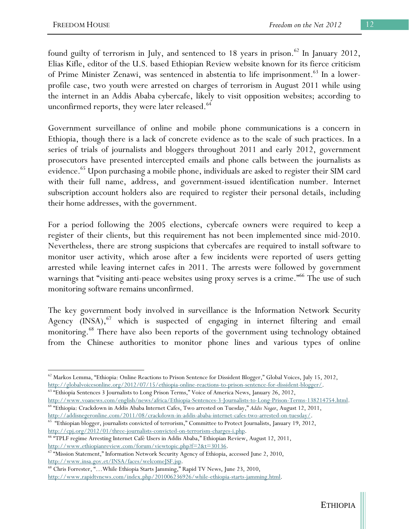found guilty of terrorism in July, and sentenced to 18 years in prison.<sup>62</sup> In January 2012, Elias Kifle, editor of the U.S. based Ethiopian Review website known for its fierce criticism of Prime Minister Zenawi, was sentenced in abstentia to life imprisonment.<sup>63</sup> In a lowerprofile case, two youth were arrested on charges of terrorism in August 2011 while using the internet in an Addis Ababa cybercafe, likely to visit opposition websites; according to unconfirmed reports, they were later released.<sup>64</sup>

Government surveillance of online and mobile phone communications is a concern in Ethiopia, though there is a lack of concrete evidence as to the scale of such practices. In a series of trials of journalists and bloggers throughout 2011 and early 2012, government prosecutors have presented intercepted emails and phone calls between the journalists as evidence.<sup>65</sup> Upon purchasing a mobile phone, individuals are asked to register their SIM card with their full name, address, and government-issued identification number. Internet subscription account holders also are required to register their personal details, including their home addresses, with the government.

For a period following the 2005 elections, cybercafe owners were required to keep a register of their clients, but this requirement has not been implemented since mid-2010. Nevertheless, there are strong suspicions that cybercafes are required to install software to monitor user activity, which arose after a few incidents were reported of users getting arrested while leaving internet cafes in 2011. The arrests were followed by government warnings that "visiting anti-peace websites using proxy serves is a crime."<sup>66</sup> The use of such monitoring software remains unconfirmed.

The key government body involved in surveillance is the Information Network Security Agency  $(INSA)$ , which is suspected of engaging in internet filtering and email monitoring.<sup>68</sup> There have also been reports of the government using technology obtained from the Chinese authorities to monitor phone lines and various types of online

<sup>&</sup>lt;sup>62</sup> Markos Lemma, "Ethiopia: Online Reactions to Prison Sentence for Dissident Blogger," Global Voices, July 15, 2012, http://globalvoicesonline.org/2012/07/15/ethiopia-online-reactions-to-prison-sentence-for-dissident-blogger/. 63 "Ethiopia Sentences 3 Journalists to Long Prison Terms," Voice of America News, January 26, 2012,

http://www.voanews.com/english/news/africa/Ethiopia-Sentences-3-Journalists-to-Long-Prison-Terms-138214754.html.<br><sup>64</sup> "Ethiopia: Crackdown in Addis Ababa Internet Cafes, Two arrested on Tuesday," Addis Neger, August 12, 20

http://addisnegeronline.com/2011/08/crackdown-in-addis-ababa-internet-cafes-two-arrested-on-tuesday/. 65 "Ethiopian blogger, journalists convicted of terrorism," Committee to Protect Journalists, January 19, 2012,

http://cpj.org/2012/01/three-journalists-convicted-on-terrorism-charges-i.php.<br><sup>66</sup> "TPLF regime Arresting Internet Café Users in Addis Ababa," Ethiopian Review, August 12, 2011,<br>http://www.ethiopianreview.com/forum/viewto

 $h^{\sigma}$  "Mission Statement," Information Network Security Agency of Ethiopia, accessed June 2, 2010, http://www.insa.gov.et/INSA/faces/welcomeJSF.jsp.<br><sup>68</sup> Chris Forrester, "…While Ethiopia Starts Jamming," Rapid TV News, June 23, 2010,

http://www.rapidtvnews.com/index.php/201006236926/while-ethiopia-starts-jamming.html.